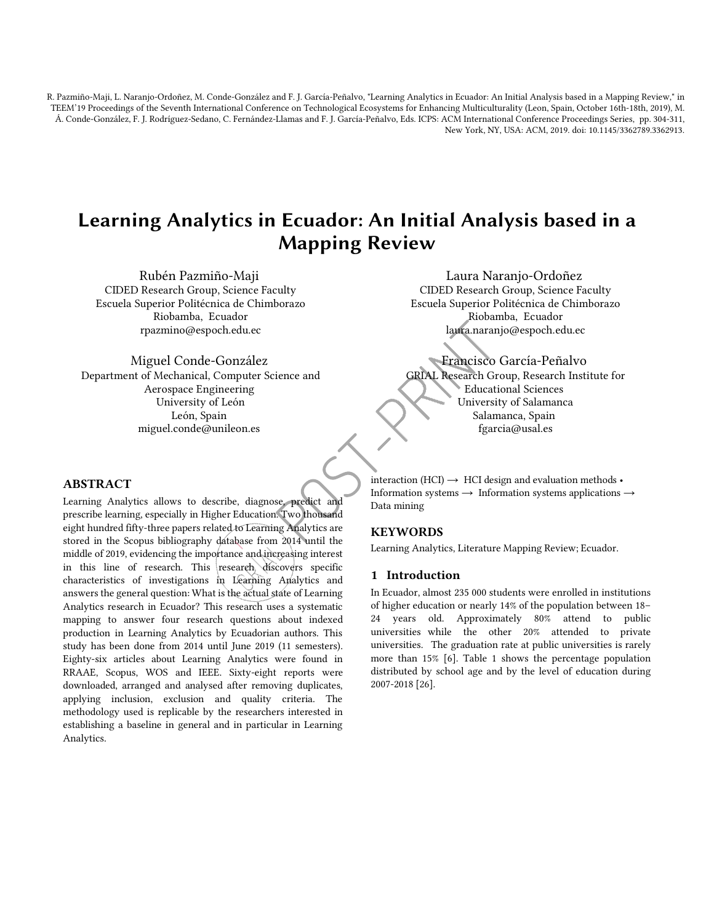R. Pazmiño-Maji, L. Naranjo-Ordoñez, M. Conde-González and F. J. García-Peñalvo, "Learning Analytics in Ecuador: An Initial Analysis based in a Mapping Review," in TEEM'19 Proceedings of the Seventh International Conference on Technological Ecosystems for Enhancing Multiculturality (Leon, Spain, October 16th-18th, 2019), M. Á. Conde-González, F. J. Rodríguez-Sedano, C. Fernández-Llamas and F. J. García-Peñalvo, Eds. ICPS: ACM International Conference Proceedings Series, pp. 304-311, New York, NY, USA: ACM, 2019. doi: 10.1145/3362789.3362913.

# Learn[ing Analytics i](mailto:rpazmino@espoch.edu.ec)n Ecuador: An Initial Analysis based in a Mapping Review

Rubén Pazmiño-Maji CIDED Research Group, Science Faculty Escuela Superior Politécnica de Chimborazo Riobamba, Ecuador rpazmino@espoch.edu.ec

Laura Naranjo-Ordoñez CIDED Research Group, Science Faculty Escuela Superior Politécnica de Chimborazo Riobamba, Ecuador laura.naranjo@espoch.edu.ec

Francisco García-Peñalvo GRIAL Research Group, Research Institute for Educational Sciences University of Salamanca Salamanca, Spain fgarcia@usal.es

## Miguel Conde-González

 Department of Mechanical, Computer Science and Aerospace Engineering University of León León, Spain miguel.conde@unileon.es

## **ABSTRACT**

Learning Analytics allows to describe, diagnose, predict and prescribe learning, especially in Higher Education. Two thousand eight hundred fifty-three papers related to Learning Analytics are stored in the Scopus bibliography database from 2014 until the middle of 2019, evidencing the importance and increasing interest in this line of research. This research discovers specific characteristics of investigations in Learning Analytics and answers the general question: What is the actual state of Learning Analytics research in Ecuador? This research uses a systematic mapping to answer four research questions about indexed production in Learning Analytics by Ecuadorian authors. This study has been done from 2014 until June 2019 (11 semesters). Eighty-six articles about Learning Analytics were found in RRAAE, Scopus, WOS and IEEE. Sixty-eight reports were downloaded, arranged and analysed after removing duplicates, applying inclusion, exclusion and quality criteria. The methodology used is replicable by the researchers interested in establishing a baseline in general and in particular in Learning Analytics. se, predict and<br>
a. Two thousand<br>
analytics are<br>
a 2014 until the

interaction (HCI)  $\rightarrow$  HCI design and evaluation methods • Information systems → Information systems applications → Data mining

## KEYWORDS

Learning Analytics, Literature Mapping Review; Ecuador.

## 1 Introduction

In Ecuador, almost 235 000 students were enrolled in institutions of higher education or nearly 14% of the population between 18– 24 years old. Approximately 80% attend to public universities while the other 20% attended to private universities. The graduation rate at public universities is rarely [more th](#page-1-0)an 15% [6]. Table 1 shows the percentage population distributed by school age and by the level of education during 2007-2018 [26].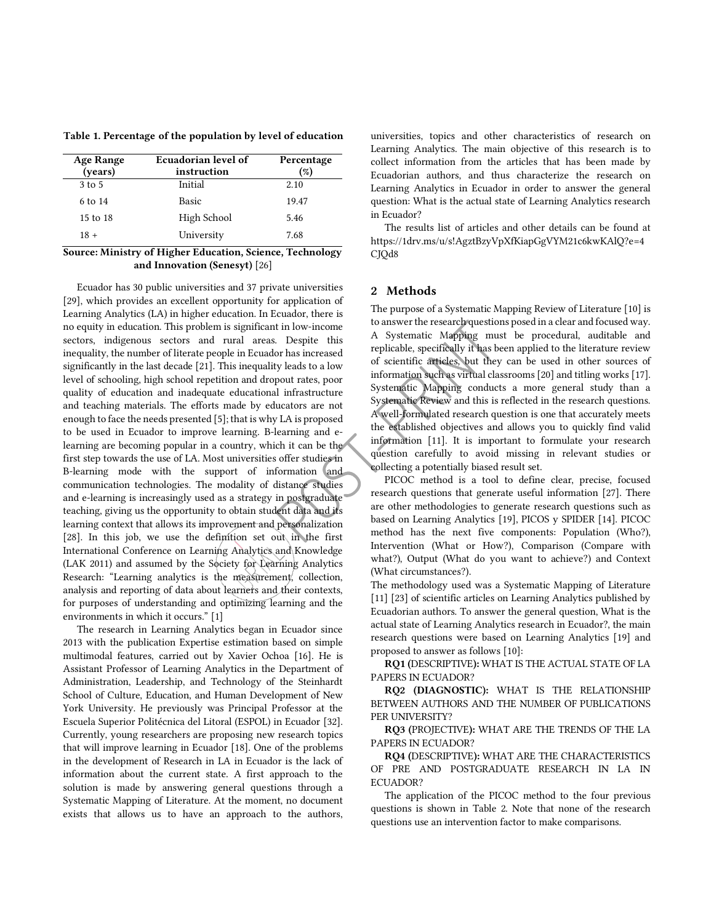<span id="page-1-0"></span>Table 1**.** Percentage of the population by level of education

| <b>Age Range</b><br>(years) | Ecuadorian level of<br>instruction | Percentage<br>$\mathcal{C}_b$ |
|-----------------------------|------------------------------------|-------------------------------|
| 3 to 5                      | Initial                            | 2.10                          |
| 6 to 14                     | <b>Basic</b>                       | 19.47                         |
| 15 to 18                    | High School                        | 5.46                          |
| $18 +$                      | University                         | 7.68                          |

## Source: Ministry of Higher Education, Science, Technology and Innovation (Senesyt) [26]

Ecuador has 30 public universities and 37 private universities [29], which provides an excellent opportunity for application of Learning Analytics (LA) in higher education. In Ecuador, there is no equity in education. This problem is significant in low-income sectors, indigenous sectors and rural areas. Despite this inequality, the number of literate people in Ecuador has increased significantly in the last decade [21]. This inequality leads to a low level of schooling, high school repetition and dropout rates, poor quality of education and inadequate educational infrastructure and teaching materials. The efforts made by educators are not enough to face the needs presented [5]; that is why LA is proposed to be used in Ecuador to improve learning. B-learning and elearning are becoming popular in a country, which it can be the first step towards the use of LA. Most universities offer studies in B-learning mode with the support of information and communication technologies. The modality of distance studies and e-learning is increasingly used as a strategy in postgraduate teaching, giving us the opportunity to obtain student data and its learning context that allows its improvement and personalization [28]. In this job, we use the definition set out in the first International Conference on Learning Analytics and Knowledge (LAK 2011) and assumed by the Society for Learning Analytics Research: "Learning analytics is the measurement, collection, analysis and reporting of data about learners and their contexts, for purposes of understanding and optimizing learning and the environments in which it occurs." [1]

The research in Learning Analytics began in Ecuador since 2013 with the publication Expertise estimation based on simple multimodal features, carried out by Xavier Ochoa [16]. He is Assistant Professor of Learning Analytics in the Department of Administration, Leadership, and Technology of the Steinhardt School of Culture, Education, and Human Development of New York University. He previously was Principal Professor at the Escuela Superior Politécnica del Litoral (ESPOL) in Ecuador [32]. Currently, young researchers are proposing new research topics that will improve learning in Ecuador [18]. One of the problems in the development of Research in LA in Ecuador is the lack of information about the current state. A first approach to the solution is made by answering general questions through a Systematic Mapping of Literature. At the moment, no document exists that allows us to have an approach to the authors,

universities, topics and other characteristics of research on Learning Analytics. The main objective of this research is to collect information from the articles that has been made by Ecuadorian authors, and thus characterize the research on Learning Analytics in Ecuador in order to answer the general question: What is the actual state of Learning Analytics research in Ecuador?

The results list of articles and other details can be found at https://1drv.ms/u/s!AgztBzyVpXfKiapGgVYM21c6kwKAlQ?e=4 CJQd8

## 2 Methods

The purpose of a Systematic Mapping Review of Literature [10] is to answer the research questions posed in a clear and focused way. A Systematic Mapping must be procedural, auditable and replicable, specifically it has been applied to the literature review of scientific articles, but they can be used in other sources of information such as virtual classrooms [20] and titling works [17]. Systematic Mapping conducts a more general study than a Systematic Review and this is reflected in the research questions. A well-formulated research question is one that accurately meets the established objectives and allows you to quickly find valid information [11]. It is important to formulate your research question carefully to avoid missing in relevant studies or collecting a potentially biased result set.

PICOC method is a tool to define clear, precise, focused research questions that generate useful information [27]. There are other methodologies to generate research questions such as based on Learning Analytics [19], PICOS y SPIDER [14]. PICOC method has the next five components: Population (Who?), Intervention (What or How?), Comparison (Compare with what?), Output (What do you want to achieve?) and Context (What circumstances?). enting and e-<br>
information [11]. It is important to formulate your re<br>
eigning an eig-vanit substance studies in energied to avoid missing in relevant stud<br>
formation and the comparisons that generate useful information [2

The methodology used was a Systematic Mapping of Literature [11] [23] of scientific articles on Learning Analytics published by Ecuadorian authors. To answer the general question, What is the actual state of Learning Analytics research in Ecuador?, the main research questions were based on Learning Analytics [19] and proposed to answer as follows [10]:

RQ1 (DESCRIPTIVE): WHAT IS THE ACTUAL STATE OF LA PAPERS IN ECUADOR?

RQ2 (DIAGNOSTIC): WHAT IS THE RELATIONSHIP BETWEEN AUTHORS AND THE NUMBER OF PUBLICATIONS PER UNIVERSITY?

RQ3 (PROJECTIVE): WHAT ARE THE TRENDS OF THE LA PAPERS IN ECUADOR?

RQ4 (DESCRIPTIVE): WHAT ARE THE CHARACTERISTICS OF PRE AND POSTGRADUATE RESEARCH IN LA IN ECUADOR?

The application of the PICOC method to the four previous questions is shown in [Table 2.](#page-2-0) Note that none of the research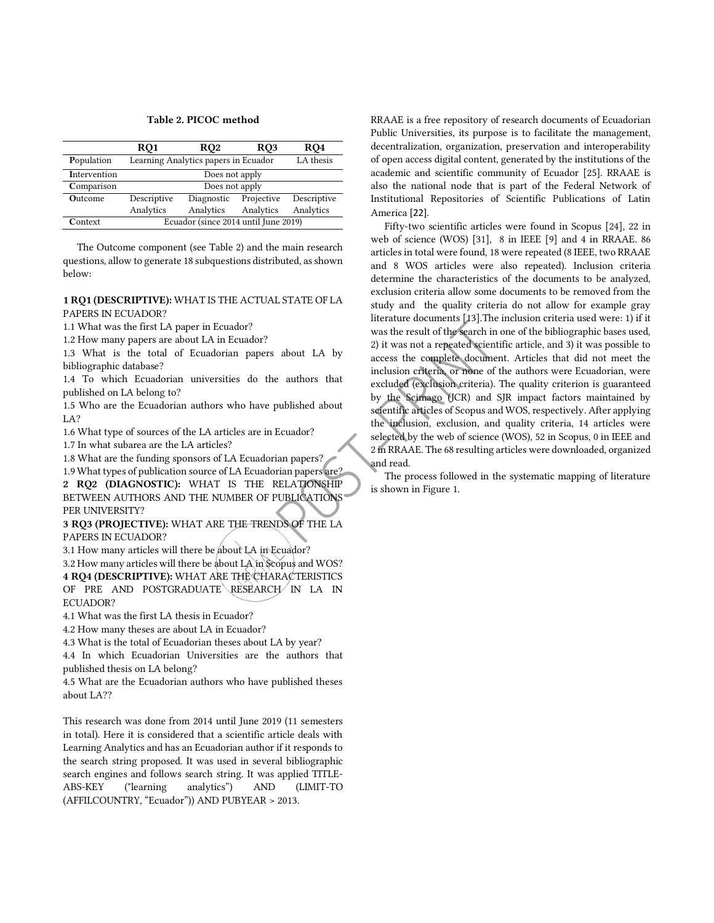#### Table 2**.** PICOC method

<span id="page-2-0"></span>

|                | RQ1                                  | RQ <sub>2</sub> | RQ3        | RQ4         |  |
|----------------|--------------------------------------|-----------------|------------|-------------|--|
| Population     | Learning Analytics papers in Ecuador | LA thesis       |            |             |  |
| Intervention   | Does not apply                       |                 |            |             |  |
| Comparison     | Does not apply                       |                 |            |             |  |
| <b>Outcome</b> | Descriptive                          | Diagnostic      | Projective | Descriptive |  |
|                | Analytics                            | Analytics       | Analytics  | Analytics   |  |
| Context        | Ecuador (since 2014 until June 2019) |                 |            |             |  |

The Outcome component (see [Table 2\)](#page-2-0) and the main research questions, allow to generate 18 subquestions distributed, as shown below:

### 1 RQ1 (DESCRIPTIVE): WHAT IS THE ACTUAL STATE OF LA PAPERS IN ECUADOR?

1.1 What was the first LA paper in Ecuador?

1.2 How many papers are about LA in Ecuador?

1.3 What is the total of Ecuadorian papers about LA by bibliographic database?

1.4 To which Ecuadorian universities do the authors that published on LA belong to?

1.5 Who are the Ecuadorian authors who have published about LA?

1.6 What type of sources of the LA articles are in Ecuador?

1.7 In what subarea are the LA articles?

1.8 What are the funding sponsors of LA Ecuadorian papers?

1.9 What types of publication source of LA Ecuadorian papers are? 2 RQ2 (DIAGNOSTIC): WHAT IS THE RELATIONSHIP BETWEEN AUTHORS AND THE NUMBER OF PUBLICATIONS PER UNIVERSITY? sele<br>
ian papers?<br>
ian papers are?<br>
RELATIONSHIP<br>
PUBLICATIONS<br>
IDS OF THE LA

3 RQ3 (PROJECTIVE): WHAT ARE THE TRENDS OF THE LA PAPERS IN ECUADOR?

3.1 How many articles will there be about LA in Ecuador?

3.2 How many articles will there be about LA in Scopus and WOS? 4 RQ4 (DESCRIPTIVE): WHAT ARE THE CHARACTERISTICS OF PRE AND POSTGRADUATE RESEARCH IN LA IN ECUADOR?

4.1 What was the first LA thesis in Ecuador?

4.2 How many theses are about LA in Ecuador?

4.3 What is the total of Ecuadorian theses about LA by year?

4.4 In which Ecuadorian Universities are the authors that published thesis on LA belong?

4.5 What are the Ecuadorian authors who have published theses about LA??

This research was done from 2014 until June 2019 (11 semesters in total). Here it is considered that a scientific article deals with Learning Analytics and has an Ecuadorian author if it responds to the search string proposed. It was used in several bibliographic search engines and follows search string. It was applied TITLE-ABS-KEY ("learning analytics") AND (LIMIT-TO (AFFILCOUNTRY, "Ecuador")) AND PUBYEAR > 2013.

RRAAE is a free repository of research documents of Ecuadorian Public Universities, its purpose is to facilitate the management, decentralization, organization, preservation and interoperability of open access digital content, generated by the institutions of the academic and scientific community of Ecuador [25]. RRAAE is also the national node that is part of the Federal Network of Institutional Repositories of Scientific Publications of Latin America [22].

Fifty-two scientific articles were found in Scopus [24], 22 in web of science (WOS) [31], 8 in IEEE [9] and 4 in RRAAE. 86 articles in total were found, 18 were repeated (8 IEEE, two RRAAE and 8 WOS articles were also repeated). Inclusion criteria determine the characteristics of the documents to be analyzed, exclusion criteria allow some documents to be removed from the study and the quality criteria do not allow for example gray literature documents [13].The inclusion criteria used were: 1) if it was the result of the search in one of the bibliographic bases used, 2) it was not a repeated scientific article, and 3) it was possible to access the complete document. Articles that did not meet the inclusion criteria, or none of the authors were Ecuadorian, were excluded (exclusion criteria). The quality criterion is guaranteed by the Scimago (JCR) and SJR impact factors maintained by scientific articles of Scopus and WOS, respectively. After applying the inclusion, exclusion, and quality criteria, 14 articles were selected by the web of science (WOS), 52 in Scopus, 0 in IEEE and 2 in RRAAE. The 68 resulting articles were downloaded, organized and read.

The process followed in the systematic mapping of literature is shown i[n Figure 1.](#page-3-0)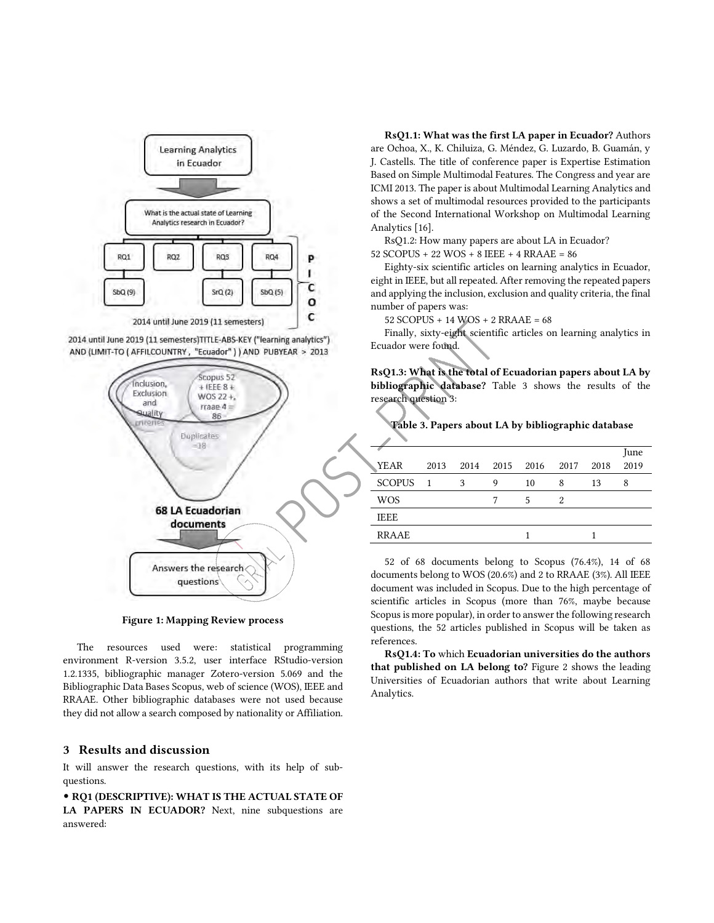

2014 until June 2019 (11 semesters)TITLE-ABS-KEY ("learning analytics") AND (LIMIT-TO ( AFFILCOUNTRY, "Ecuador" ) ) AND PUBYEAR > 2013



Figure 1: Mapping Review process

<span id="page-3-0"></span>The resources used were: statistical programming environment R-version 3.5.2, user interface RStudio-version 1.2.1335, bibliographic manager Zotero-version 5.069 and the Bibliographic Data Bases Scopus, web of science (WOS), IEEE and RRAAE. Other bibliographic databases were not used because they did not allow a search composed by nationality or Affiliation.

## 3 Results and discussion

It will answer the research questions, with its help of subquestions.

• RQ1 (DESCRIPTIVE): WHAT IS THE ACTUAL STATE OF LA PAPERS IN ECUADOR? Next, nine subquestions are answered:

RsQ1.1: What was the first LA paper in Ecuador? Authors are Ochoa, X., K. Chiluiza, G. Méndez, G. Luzardo, B. Guamán, y J. Castells. The title of conference paper is Expertise Estimation Based on Simple Multimodal Features. The Congress and year are ICMI 2013. The paper is about Multimodal Learning Analytics and shows a set of multimodal resources provided to the participants of the Second International Workshop on Multimodal Learning Analytics [16].

RsQ1.2: How many papers are about LA in Ecuador?

52 SCOPUS + 22 WOS + 8 IEEE + 4 RRAAE = 86

Eighty-six scientific articles on learning analytics in Ecuador, eight in IEEE, but all repeated. After removing the repeated papers and applying the inclusion, exclusion and quality criteria, the final number of papers was:

52 SCOPUS + 14 WOS + 2 RRAAE = 68

Finally, sixty-eight scientific articles on learning analytics in Ecuador were found.

RsQ1.3: What is the total of Ecuadorian papers about LA by bibliographic database? [Table](#page-3-1) 3 shows the results of the research question 3:

<span id="page-3-1"></span>Table 3**.** Papers about LA by bibliographic database

| YEAR          | 2013           | 2014 | 2015 | 2016 | 2017 | 2018 | June<br>2019 |  |
|---------------|----------------|------|------|------|------|------|--------------|--|
|               |                |      |      |      |      |      |              |  |
| <b>SCOPUS</b> | $\blacksquare$ | 3    | 9    | 10   | 8    | 13   | 8            |  |
| <b>WOS</b>    |                |      |      | 5    | 2    |      |              |  |
| <b>IEEE</b>   |                |      |      |      |      |      |              |  |
| <b>RRAAE</b>  |                |      |      |      |      |      |              |  |
|               |                |      |      |      |      |      |              |  |

52 of 68 documents belong to Scopus (76.4%), 14 of 68 documents belong to WOS (20.6%) and 2 to RRAAE (3%). All IEEE document was included in Scopus. Due to the high percentage of scientific articles in Scopus (more than 76%, maybe because Scopus is more popular), in order to answer the following research questions, the 52 articles published in Scopus will be taken as references.

RsQ1.4: To which Ecuadorian universities do the authors that published on LA belong to? [Figure 2](#page-4-0) shows the leading Universities of Ecuadorian authors that write about Learning Analytics.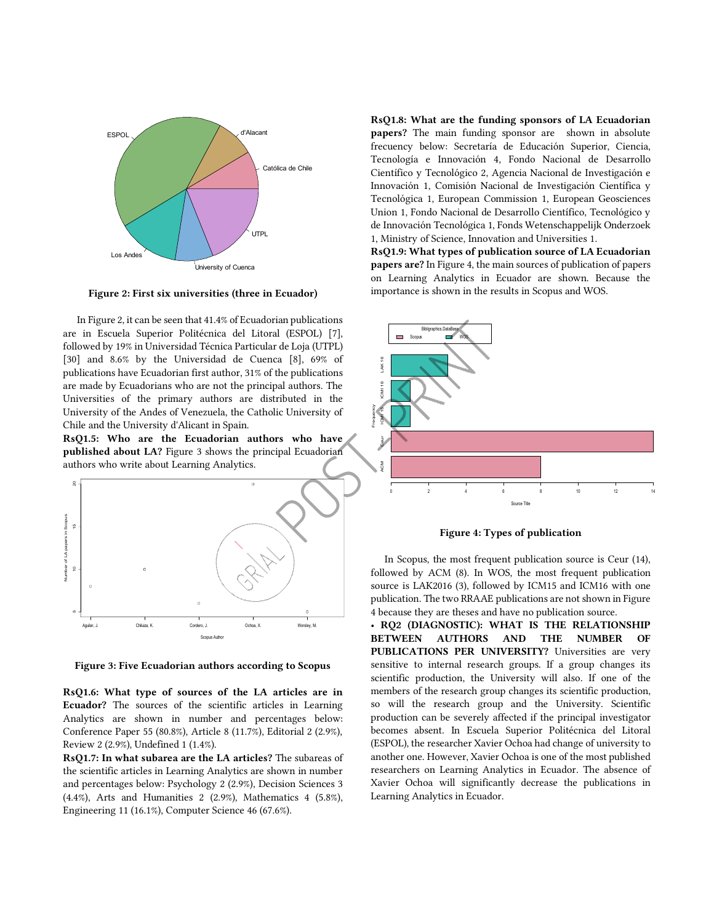

<span id="page-4-0"></span>Figure 2: First six universities (three in Ecuador)

In Figure 2, it can be seen that 41.4% of Ecuadorian publications are in Escuela Superior Politécnica del Litoral (ESPOL) [7], followed by 19% in Universidad Técnica Particular de Loja (UTPL) [30] and 8.6% by the Universidad de Cuenca [8], 69% of publications have Ecuadorian first author, 31% of the publications are made by Ecuadorians who are not the principal authors. The Universities of the primary authors are distributed in the University of the Andes of Venezuela, the Catholic University of Chile and the University d'Alicant in Spain.

RsQ1.5: Who are the Ecuadorian authors who have published about LA? [Figure 3](#page-4-1) shows the principal Ecuadorian authors who write about Learning Analytics.



<span id="page-4-1"></span>Figure 3: Five Ecuadorian authors according to Scopus

RsQ1.6: What type of sources of the LA articles are in Ecuador? The sources of the scientific articles in Learning Analytics are shown in number and percentages below: Conference Paper 55 (80.8%), Article 8 (11.7%), Editorial 2 (2.9%), Review 2 (2.9%), Undefined 1 (1.4%).

RsQ1.7: In what subarea are the LA articles? The subareas of the scientific articles in Learning Analytics are shown in number and percentages below: Psychology 2 (2.9%), Decision Sciences 3 (4.4%), Arts and Humanities 2 (2.9%), Mathematics 4 (5.8%), Engineering 11 (16.1%), Computer Science 46 (67.6%).

RsQ1.8: What are the funding sponsors of LA Ecuadorian papers? The main funding sponsor are shown in absolute frecuency below: Secretaría de Educación Superior, Ciencia, Tecnología e Innovación 4, Fondo Nacional de Desarrollo Científico y Tecnológico 2, Agencia Nacional de Investigación e Innovación 1, Comisión Nacional de Investigación Científica y Tecnológica 1, European Commission 1, European Geosciences Union 1, Fondo Nacional de Desarrollo Científico, Tecnológico y de Innovación Tecnológica 1, Fonds Wetenschappelijk Onderzoek 1, Ministry of Science, Innovation and Universities 1.

RsQ1.9: What types of publication source of LA Ecuadorian papers are? I[n Figure 4,](#page-4-2) the main sources of publication of papers on Learning Analytics in Ecuador are shown. Because the importance is shown in the results in Scopus and WOS.



Figure 4: Types of publication

<span id="page-4-2"></span>In Scopus, the most frequent publication source is Ceur (14), followed by ACM (8). In WOS, the most frequent publication source is LAK2016 (3), followed by ICM15 and ICM16 with one publication. The two RRAAE publications are not shown in Figure 4 because they are theses and have no publication source.

• RQ2 (DIAGNOSTIC): WHAT IS THE RELATIONSHIP BETWEEN AUTHORS AND THE NUMBER OF PUBLICATIONS PER UNIVERSITY? Universities are very sensitive to internal research groups. If a group changes its scientific production, the University will also. If one of the members of the research group changes its scientific production, so will the research group and the University. Scientific production can be severely affected if the principal investigator becomes absent. In Escuela Superior Politécnica del Litoral (ESPOL), the researcher Xavier Ochoa had change of university to another one. However, Xavier Ochoa is one of the most published researchers on Learning Analytics in Ecuador. The absence of Xavier Ochoa will significantly decrease the publications in Learning Analytics in Ecuador.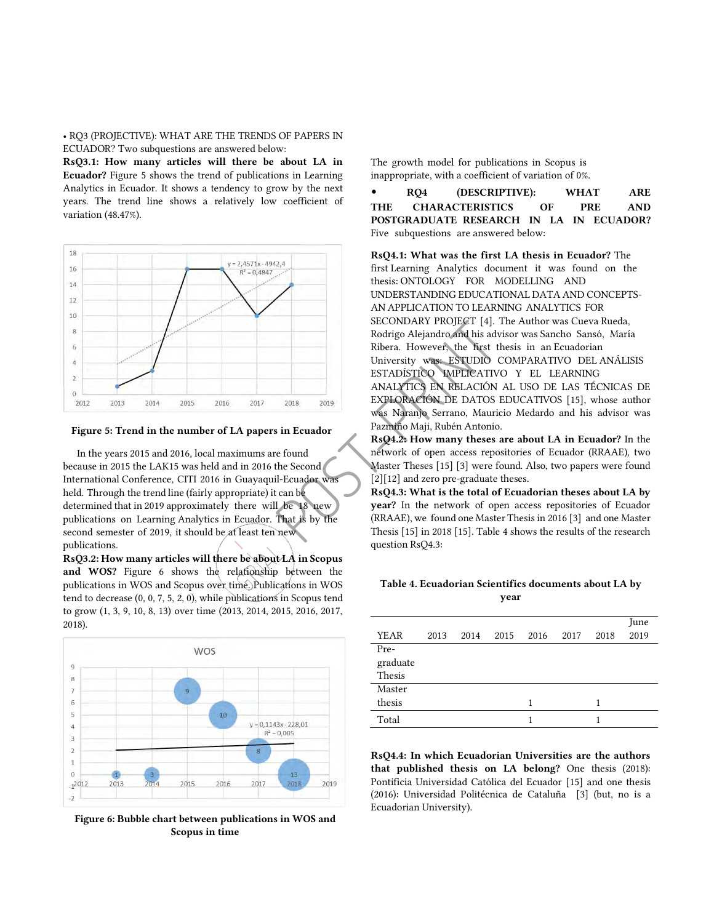• RQ3 (PROJECTIVE): WHAT ARE THE TRENDS OF PAPERS IN ECUADOR? Two subquestions are answered below:

RsQ3.1: How many articles will there be about LA in Ecuador? [Figure 5](#page-5-0) shows the trend of publications in Learning Analytics in Ecuador. It shows a tendency to grow by the next years. The trend line shows a relatively low coefficient of variation (48.47%).



**Figure 5: Trend in the number of LA papers in Ecuador** 

<span id="page-5-0"></span>In the years 2015 and 2016, local maximums are found because in 2015 the LAK15 was held and in 2016 the Second International Conference, CITI 2016 in Guayaquil-Ecuador was held. Through the trend line (fairly appropriate) it can be determined that in 2019 approximately there will be 18 new publications on Learning Analytics in Ecuador. That is by the second semester of 2019, it should be at least ten new publications. Ref Cound<br>
The Second<br>
The Second<br>
Ecuador Was<br>
Ecuador Was<br>
Ecuador Was<br>
Ecuador Was<br>
Ecuador Was<br>
That is by the CRR<br>
The The The The

RsQ3.2: How many articles will there be about LA in Scopus and WOS? Figure 6 shows the relationship between the publications i[n WOS and](#page-5-1) Scopus over time. Publications in WOS tend to decrease (0, 0, 7, 5, 2, 0), while publications in Scopus tend to grow (1, 3, 9, 10, 8, 13) over time (2013, 2014, 2015, 2016, 2017, 2018).



**Figure 6: Bubble chart between publications in WOS and Scopus in time** 

<span id="page-5-1"></span>The growth model for publications in Scopus is inappropriate, with a coefficient of variation of 0%.

• RQ4 (DESCRIPTIVE): WHAT ARE THE CHARACTERISTICS OF PRE AND POSTGRADUATE RESEARCH IN LA IN ECUADOR? Five subquestions are answered below:

RsQ4.1: What was the first LA thesis in Ecuador? The first Learning Analytics document it was found on the thesis: ONTOLOGY FOR MODELLING AND UNDERSTANDING EDUCATIONAL DATA AND CONCEPTS-AN APPLICATION TO LEARNING ANALYTICS FOR SECONDARY PROJECT [4]. The Author was Cueva Rueda, Rodrigo Alejandro and his advisor was Sancho Sansó, María Ribera. However, the first thesis in an Ecuadorian University was: ESTUDIO COMPARATIVO DEL ANÁLISIS ESTADÍSTICO IMPLICATIVO Y EL LEARNING ANALYTICS EN RELACIÓN AL USO DE LAS TÉCNICAS DE EXPLORACIÓN DE DATOS EDUCATIVOS [15], whose author was Naranjo Serrano, Mauricio Medardo and his advisor was Pazmiño Maji, Rubén Antonio.

RsQ4.2: How many theses are about LA in Ecuador? In the network of open access repositories of Ecuador (RRAAE), two Master Theses [15] [3] were found. Also, two papers were found [2][12] and zero pre-graduate theses.

RsQ4.3: What is the total of Ecuadorian theses about LA by year? In the network of open access repositories of Ecuador (RRAAE), we found one Master Thesis in 2016 [3] and one Master Thesis [15] in 2018 [15][. Table 4 s](#page-5-2)hows the results of the research question RsQ4.3:

## <span id="page-5-2"></span>Table 4**.** Ecuadorian Scientifics documents about LA by year

|             |      |      |      |      |      |      | June |
|-------------|------|------|------|------|------|------|------|
| <b>YEAR</b> | 2013 | 2014 | 2015 | 2016 | 2017 | 2018 | 2019 |
| Pre-        |      |      |      |      |      |      |      |
| graduate    |      |      |      |      |      |      |      |
| Thesis      |      |      |      |      |      |      |      |
| Master      |      |      |      |      |      |      |      |
| thesis      |      |      |      | 1    |      |      |      |
| Total       |      |      |      |      |      |      |      |

RsQ4.4: In which Ecuadorian Universities are the authors that published thesis on LA belong? One thesis (2018): Pontificia Universidad Católica del Ecuador [15] and one thesis (2016): Universidad Politécnica de Cataluña [3] (but, no is a Ecuadorian University).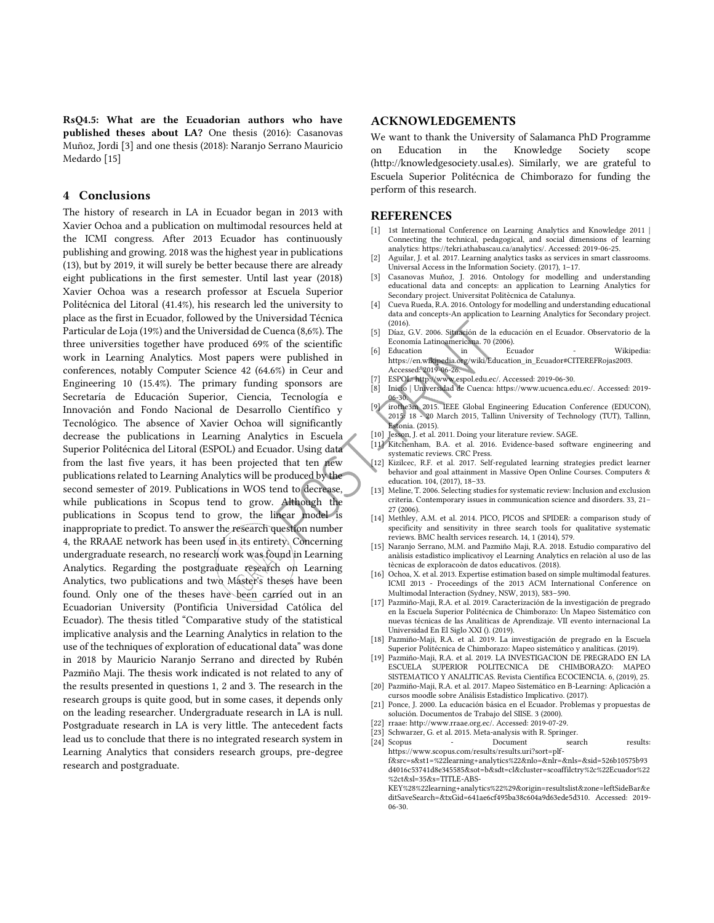RsQ4.5: What are the Ecuadorian authors who have published theses about LA? One thesis (2016): Casanovas Muñoz, Jordi [3] and one thesis (2018): Naranjo Serrano Mauricio Medardo [15]

## 4 Conclusions

The history of research in LA in Ecuador began in 2013 with Xavier Ochoa and a publication on multimodal resources held at the ICMI congress. After 2013 Ecuador has continuously publishing and growing. 2018 was the highest year in publications (13), but by 2019, it will surely be better because there are already eight publications in the first semester. Until last year (2018) Xavier Ochoa was a research professor at Escuela Superior Politécnica del Litoral (41.4%), his research led the university to place as the first in Ecuador, followed by the Universidad Técnica Particular de Loja (19%) and the Universidad de Cuenca (8,6%). The three universities together have produced 69% of the scientific work in Learning Analytics. Most papers were published in conferences, notably Computer Science 42 (64.6%) in Ceur and Engineering 10 (15.4%). The primary funding sponsors are Secretaría de Educación Superior, Ciencia, Tecnología e Innovación and Fondo Nacional de Desarrollo Científico y Tecnológico. The absence of Xavier Ochoa will significantly decrease the publications in Learning Analytics in Escuela Superior Politécnica del Litoral (ESPOL) and Ecuador. Using data from the last five years, it has been projected that ten new publications related to Learning Analytics will be produced by the second semester of 2019. Publications in WOS tend to decrease, while publications in Scopus tend to grow. Although the publications in Scopus tend to grow, the linear model is inappropriate to predict. To answer the research question number 4, the RRAAE network has been used in its entirety. Concerning undergraduate research, no research work was found in Learning Analytics. Regarding the postgraduate research on Learning Analytics, two publications and two Master's theses have been found. Only one of the theses have been carried out in an Ecuadorian University (Pontificia Universidad Católica del Ecuador). The thesis titled "Comparative study of the statistical implicative analysis and the Learning Analytics in relation to the use of the techniques of exploration of educational data" was done in 2018 by Mauricio Naranjo Serrano and directed by Rubén Pazmiño Maji. The thesis work indicated is not related to any of the results presented in questions 1, 2 and 3. The research in the research groups is quite good, but in some cases, it depends only on the leading researcher. Undergraduate research in LA is null. Postgraduate research in LA is very little. The antecedent facts lead us to conclude that there is no integrated research system in Learning Analytics that considers research groups, pre-degree research and postgraduate. tics in Escuela<br>
ador. Using data<br>
10 | Isarch<br>
11 | Kirch<br>
produced by the<br>
end to decrease,<br>
13 | Melin<br>
although the<br>
inear model is<br>
(14) Melin<br>
end in Learning<br>
terive specific<br>
produced in an Internation of the stat

## ACKNOWLEDGEMENTS

We want to thank the University of Salamanca PhD Programme on Education in the Knowledge Society scope (http://knowledgesociety.usal.es). Similarly, we are grateful to Escuela Superior Politécnica de Chimborazo for funding the perform of this research.

## **REFERENCES**

- [1] 1st International Conference on Learning Analytics and Knowledge 2011 | Connecting the technical, pedagogical, and social dimensions of learning analytics: https://tekri.athabascau.ca/analytics/. Accessed: 2019-06-25.
- Aguilar, J. et al. 2017. Learning analytics tasks as services in smart classrooms. Universal Access in the Information Society. (2017), 1–17.
- [3] Casanovas Muñoz, J. 2016. Ontology for modelling and understanding educational data and concepts: an application to Learning Analytics for Secondary project. Universitat Politècnica de Catalunya.
- [4] Cueva Rueda, R.A. 2016. Ontology for modelling and understanding educational data and concepts-An application to Learning Analytics for Secondary project. (2016).
- [5] Díaz, G.V. 2006. Situación de la educación en el Ecuador. Observatorio de la Economía Latinoamericana. 70 (2006).
- [6] Education in Ecuador Wikipedia: https://en.wikipedia.org/wiki/Education\_in\_Ecuador#CITEREFRojas2003. Accessed: 2019-06-26.
- ESPOL: http://www.espol.edu.ec/. Accessed: 2019-06-30.
- [8] Inicio | Universidad de Cuenca: https://www.ucuenca.edu.ec/. Accessed: 2019- 06-30.
- [9] irothe3m 2015. IEEE Global Engineering Education Conference (EDUCON), 2015: 18 - 20 March 2015, Tallinn University of Technology (TUT), Tallinn, Estonia. (2015).
- [10] Jesson, J. et al. 2011. Doing your literature review. SAGE.
- [11] Kitchenham, B.A. et al. 2016. Evidence-based software engineering and systematic reviews. CRC Press.
- [12] Kizilcec, R.F. et al. 2017. Self-regulated learning strategies predict learner behavior and goal attainment in Massive Open Online Courses. Computers & education. 104, (2017), 18–33.
- [13] Meline, T. 2006. Selecting studies for systematic review: Inclusion and exclusion criteria. Contemporary issues in communication science and disorders. 33, 21– 27 (2006).
- [14] Methley, A.M. et al. 2014. PICO, PICOS and SPIDER: a comparison study of specificity and sensitivity in three search tools for qualitative systematic reviews. BMC health services research. 14, 1 (2014), 579.
- [15] Naranjo Serrano, M.M. and Pazmiño Maji, R.A. 2018. Estudio comparativo del anàlisis estadìstico implicativoy el Learning Analytics en relaciòn al uso de las tècnicas de exploracoòn de datos educativos. (2018).
- [16] Ochoa, X. et al. 2013. Expertise estimation based on simple multimodal features. ICMI 2013 - Proceedings of the 2013 ACM International Conference on Multimodal Interaction (Sydney, NSW, 2013), 583–590.
- [17] Pazmiño-Maji, R.A. et al. 2019. Caracterización de la investigación de pregrado en la Escuela Superior Politécnica de Chimborazo: Un Mapeo Sistemático con nuevas técnicas de las Analíticas de Aprendizaje. VII evento internacional La Universidad En El Siglo XXI (). (2019).
- [18] Pazmiño-Maji, R.A. et al. 2019. La investigación de pregrado en la Escuela Superior Politécnica de Chimborazo: Mapeo sistemático y analíticas. (2019).
- [19] Pazmiño-Maji, R.A. et al. 2019. LA INVESTIGACION DE PREGRADO EN LA ESCUELA SUPERIOR POLITECNICA DE CHIMBORAZO: MAPEO SISTEMATICO Y ANALITICAS. Revista Científica ECOCIENCIA. 6, (2019), 25.
- [20] Pazmiño-Maji, R.A. et al. 2017. Mapeo Sistemático en B-Learning: Aplicación a cursos moodle sobre Análisis Estadístico Implicativo. (2017).
- [21] Ponce, J. 2000. La educación básica en el Ecuador. Problemas y propuestas de solución. Documentos de Trabajo del SIISE. 3 (2000).
- [22] rraae: http://www.rraae.org.ec/. Accessed: 2019-07-29.
- [23] Schwarzer, G. et al. 2015. Meta-analysis with R. Springer.
- [24] Scopus Document search results:

https://www.scopus.com/results/results.uri?sort=plff&src=s&st1=%22learning+analytics%22&nlo=&nlr=&nls=&sid=526b10575b93 d4016c53741d8e345585&sot=b&sdt=cl&cluster=scoaffilctry%2c%22Ecuador%22 %2ct&sl=35&s=TITLE-ABS-

KEY%28%22learning+analytics%22%29&origin=resultslist&zone=leftSideBar&e ditSaveSearch=&txGid=641ae6cf495ba38c604a9d63ede5d310. Accessed: 2019-